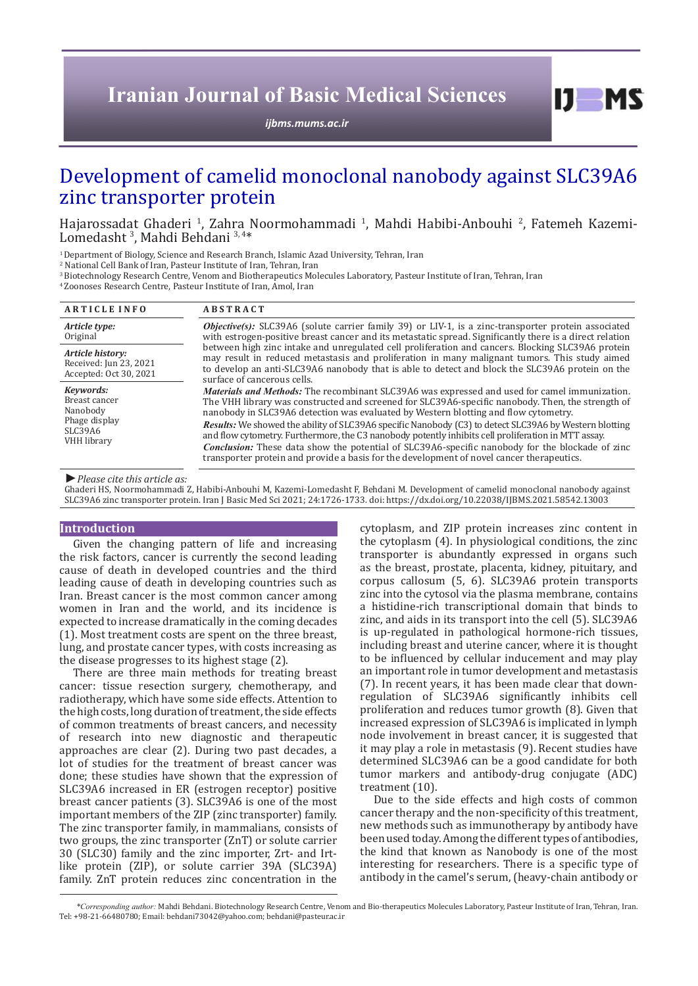# **Iranian Journal of Basic Medical Sciences**

*ijbms.mums.ac.ir*

# Development of camelid monoclonal nanobody against SLC39A6 zinc transporter protein

Hajarossadat Ghaderi <sup>1</sup>, Zahra Noormohammadi <sup>1</sup>, Mahdi Habibi-Anbouhi <sup>2</sup>, Fatemeh Kazemi-Lomedasht<sup>3</sup>, Mahdi Behdani<sup>3,4\*</sup>

<sup>1</sup> Department of Biology, Science and Research Branch, Islamic Azad University, Tehran, Iran

2 National Cell Bank of Iran, Pasteur Institute of Iran, Tehran, Iran

<sup>3</sup> Biotechnology Research Centre, Venom and Biotherapeutics Molecules Laboratory, Pasteur Institute of Iran, Tehran, Iran

4 Zoonoses Research Centre, Pasteur Institute of Iran, Amol, Iran

| <b>ARTICLE INFO</b>                                                                      | <b>ABSTRACT</b>                                                                                                                                                                                                                                                                                                                      |  |  |  |
|------------------------------------------------------------------------------------------|--------------------------------------------------------------------------------------------------------------------------------------------------------------------------------------------------------------------------------------------------------------------------------------------------------------------------------------|--|--|--|
| Article type:<br>Original                                                                | <b>Objective(s):</b> SLC39A6 (solute carrier family 39) or LIV-1, is a zinc-transporter protein associated<br>with estrogen-positive breast cancer and its metastatic spread. Significantly there is a direct relation                                                                                                               |  |  |  |
| Article history:<br>Received: Jun 23, 2021<br>Accepted: Oct 30, 2021                     | between high zinc intake and unregulated cell proliferation and cancers. Blocking SLC39A6 protein<br>may result in reduced metastasis and proliferation in many malignant tumors. This study aimed<br>to develop an anti-SLC39A6 nanobody that is able to detect and block the SLC39A6 protein on the<br>surface of cancerous cells. |  |  |  |
| Keywords:<br>Breast cancer<br>Nanobody<br>Phage display<br>SLC39A6<br><b>VHH</b> library | <i>Materials and Methods:</i> The recombinant SLC39A6 was expressed and used for camel immunization.<br>The VHH library was constructed and screened for SLC39A6-specific nanobody. Then, the strength of<br>nanobody in SLC39A6 detection was evaluated by Western blotting and flow cytometry.                                     |  |  |  |
|                                                                                          | <i>Results:</i> We showed the ability of SLC39A6 specific Nanobody (C3) to detect SLC39A6 by Western blotting<br>and flow cytometry. Furthermore, the C3 nanobody potently inhibits cell proliferation in MTT assay.                                                                                                                 |  |  |  |
|                                                                                          | <b>Conclusion:</b> These data show the potential of SLC39A6-specific nanobody for the blockade of zinc<br>transporter protein and provide a basis for the development of novel cancer therapeutics.                                                                                                                                  |  |  |  |

*►Please cite this article as:*

Ghaderi HS, Noormohammadi Z, Habibi-Anbouhi M, Kazemi-Lomedasht F, Behdani M. Development of camelid monoclonal nanobody against SLC39A6 zinc transporter protein. Iran J Basic Med Sci 2021; 24:1726-1733. doi: https://dx.doi.org/10.22038/IJBMS.2021.58542.13003

#### **Introduction**

Given the changing pattern of life and increasing the risk factors, cancer is currently the second leading cause of death in developed countries and the third leading cause of death in developing countries such as Iran. Breast cancer is the most common cancer among women in Iran and the world, and its incidence is expected to increase dramatically in the coming decades (1). Most treatment costs are spent on the three breast, lung, and prostate cancer types, with costs increasing as the disease progresses to its highest stage (2).

There are three main methods for treating breast cancer: tissue resection surgery, chemotherapy, and radiotherapy, which have some side effects. Attention to the high costs, long duration of treatment, the side effects of common treatments of breast cancers, and necessity of research into new diagnostic and therapeutic approaches are clear (2). During two past decades, a lot of studies for the treatment of breast cancer was done; these studies have shown that the expression of SLC39A6 increased in ER (estrogen receptor) positive breast cancer patients (3). SLC39A6 is one of the most important members of the ZIP (zinc transporter) family. The zinc transporter family, in mammalians, consists of two groups, the zinc transporter (ZnT) or solute carrier 30 (SLC30) family and the zinc importer, Zrt- and Irtlike protein (ZIP), or solute carrier 39A (SLC39A) family. ZnT protein reduces zinc concentration in the

cytoplasm, and ZIP protein increases zinc content in the cytoplasm (4). In physiological conditions, the zinc transporter is abundantly expressed in organs such as the breast, prostate, placenta, kidney, pituitary, and corpus callosum (5, 6). SLC39A6 protein transports zinc into the cytosol via the plasma membrane, contains a histidine-rich transcriptional domain that binds to zinc, and aids in its transport into the cell (5). SLC39A6 is up-regulated in pathological hormone-rich tissues, including breast and uterine cancer, where it is thought to be influenced by cellular inducement and may play an important role in tumor development and metastasis (7). In recent years, it has been made clear that downregulation of SLC39A6 significantly inhibits cell proliferation and reduces tumor growth (8). Given that increased expression of SLC39A6 is implicated in lymph node involvement in breast cancer, it is suggested that it may play a role in metastasis (9). Recent studies have determined SLC39A6 can be a good candidate for both tumor markers and antibody-drug conjugate (ADC) treatment (10).

 $I$   $I$   $M$   $S$ 

Due to the side effects and high costs of common cancer therapy and the non-specificity of this treatment, new methods such as immunotherapy by antibody have been used today. Among the different types of antibodies, the kind that known as Nanobody is one of the most interesting for researchers. There is a specific type of antibody in the camel's serum, (heavy-chain antibody or

*\*Corresponding author:* Mahdi Behdani. Biotechnology Research Centre, Venom and Bio-therapeutics Molecules Laboratory, Pasteur Institute of Iran, Tehran, Iran. Tel: +98-21-66480780; Email: behdani73042@yahoo.com; behdani@pasteur.ac.ir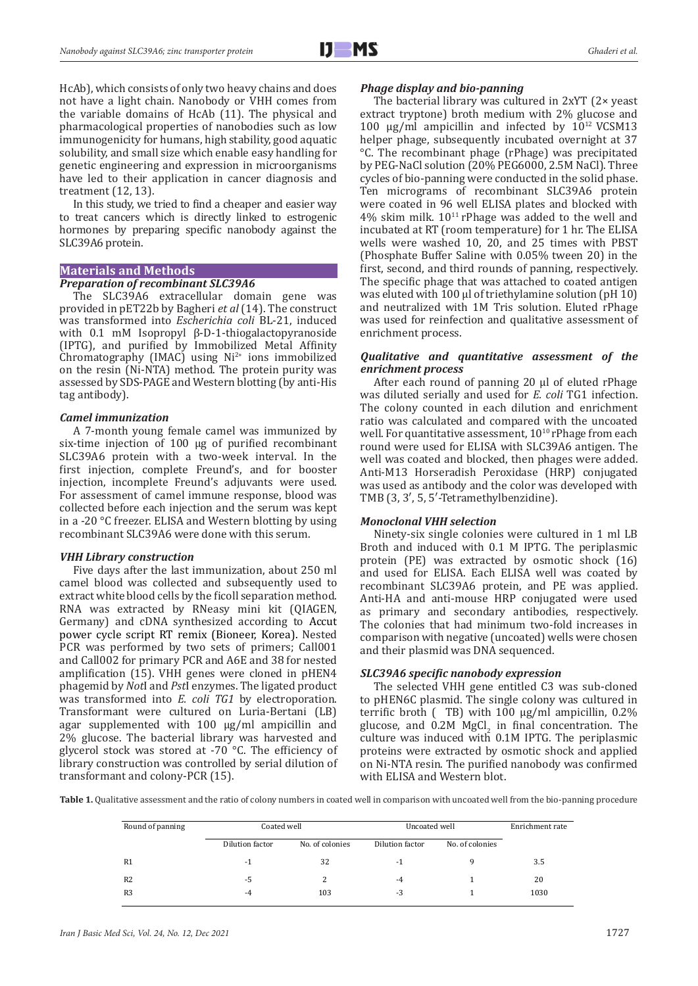HcAb), which consists of only two heavy chains and does not have a light chain. Nanobody or VHH comes from the variable domains of HcAb (11). The physical and pharmacological properties of nanobodies such as low immunogenicity for humans, high stability, good aquatic solubility, and small size which enable easy handling for genetic engineering and expression in microorganisms have led to their application in cancer diagnosis and treatment (12, 13).

In this study, we tried to find a cheaper and easier way to treat cancers which is directly linked to estrogenic hormones by preparing specific nanobody against the SLC39A6 protein.

### **Materials and Methods**

## *Preparation of recombinant SLC39A6*

The SLC39A6 extracellular domain gene was provided in pET22b by Bagheri *et al* (14). The construct was transformed into *Escherichia coli* BL-21, induced with 0.1 mM Isopropyl β-D-1-thiogalactopyranoside (IPTG), and purified by Immobilized Metal Affinity Chromatography (IMAC) using  $Ni<sup>2+</sup>$  ions immobilized on the resin (Ni-NTA) method. The protein purity was assessed by SDS-PAGE and Western blotting (by anti-His tag antibody).

#### *Camel immunization*

A 7-month young female camel was immunized by six-time injection of 100 μg of purified recombinant SLC39A6 protein with a two-week interval. In the first injection, complete Freund's, and for booster injection, incomplete Freund's adjuvants were used. For assessment of camel immune response, blood was collected before each injection and the serum was kept in a -20 °C freezer. ELISA and Western blotting by using recombinant SLC39A6 were done with this serum.

#### *VHH Library construction*

Five days after the last immunization, about 250 ml camel blood was collected and subsequently used to extract white blood cells by the ficoll separation method. RNA was extracted by RNeasy mini kit (QIAGEN, Germany) and cDNA synthesized according to Accut power cycle script RT remix (Bioneer, Korea). Nested PCR was performed by two sets of primers; Call001 and Call002 for primary PCR and A6E and 38 for nested amplification (15). VHH genes were cloned in pHEN4 phagemid by *Not*I and *Pst*I enzymes. The ligated product was transformed into *E. coli TG1* by electroporation. Transformant were cultured on Luria-Bertani (LB) agar supplemented with 100 μg/ml ampicillin and 2% glucose. The bacterial library was harvested and glycerol stock was stored at -70 $\degree$ C. The efficiency of library construction was controlled by serial dilution of transformant and colony-PCR (15).

#### *Phage display and bio-panning*

The bacterial library was cultured in 2xYT (2× yeast extract tryptone) broth medium with 2% glucose and 100 μg/ml ampicillin and infected by  $10^{12}$  VCSM13 helper phage, subsequently incubated overnight at 37 °C. The recombinant phage (rPhage) was precipitated by PEG-NaCl solution (20% PEG6000, 2.5M NaCl). Three cycles of bio-panning were conducted in the solid phase. Ten micrograms of recombinant SLC39A6 protein were coated in 96 well ELISA plates and blocked with  $4\%$  skim milk.  $10^{11}$  rPhage was added to the well and incubated at RT (room temperature) for 1 hr. The ELISA wells were washed 10, 20, and 25 times with PBST (Phosphate Buffer Saline with 0.05% tween 20) in the first, second, and third rounds of panning, respectively. The specific phage that was attached to coated antigen was eluted with 100 µl of triethylamine solution (pH 10) and neutralized with 1M Tris solution. Eluted rPhage was used for reinfection and qualitative assessment of enrichment process.

## *Qualitative and quantitative assessment of the enrichment process*

After each round of panning 20 µl of eluted rPhage was diluted serially and used for *E. coli* TG1 infection. The colony counted in each dilution and enrichment ratio was calculated and compared with the uncoated well. For quantitative assessment,  $10^{10}$  rPhage from each round were used for ELISA with SLC39A6 antigen. The well was coated and blocked, then phages were added. Anti-M13 Horseradish Peroxidase (HRP) conjugated was used as antibody and the color was developed with TMB (3, 3′, 5, 5′-Tetramethylbenzidine).

### *Monoclonal VHH selection*

Ninety-six single colonies were cultured in 1 ml LB Broth and induced with 0.1 M IPTG. The periplasmic protein (PE) was extracted by osmotic shock (16) and used for ELISA. Each ELISA well was coated by recombinant SLC39A6 protein, and PE was applied. Anti-HA and anti-mouse HRP conjugated were used as primary and secondary antibodies, respectively. The colonies that had minimum two-fold increases in comparison with negative (uncoated) wells were chosen and their plasmid was DNA sequenced.

## *SLC39A6 specific nanobody expression*

The selected VHH gene entitled C3 was sub-cloned to pHEN6C plasmid. The single colony was cultured in terrific broth  $($  TB) with 100  $\mu$ g/ml ampicillin, 0.2% glucose, and  $0.2M$  MgCl<sub>2</sub> in final concentration. The culture was induced with 0.1M IPTG. The periplasmic proteins were extracted by osmotic shock and applied on Ni-NTA resin. The purified nanobody was confirmed with ELISA and Western blot.

Table 1. Qualitative assessment and the ratio of colony numbers in coated well in comparison with uncoated well from the bio-panning procedure

| Round of panning | Coated well     |                 | Uncoated well   |                 | Enrichment rate |
|------------------|-----------------|-----------------|-----------------|-----------------|-----------------|
|                  | Dilution factor | No. of colonies | Dilution factor | No. of colonies |                 |
| R <sub>1</sub>   | -1              | 32              | $-1$            |                 | 3.5             |
| R <sub>2</sub>   | -5              | 2               | $-4$            |                 | 20              |
| R <sub>3</sub>   | $-4$            | 103             | $-3$            |                 | 1030            |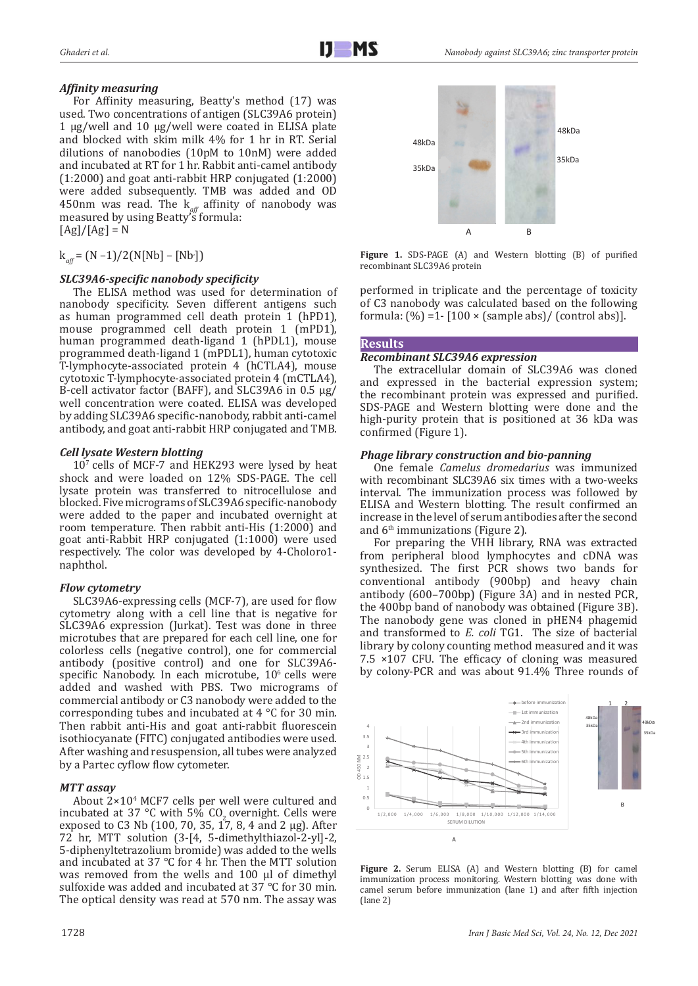## *Affinity measuring*

For Affinity measuring, Beatty's method (17) was used. Two concentrations of antigen (SLC39A6 protein) 1 μg/well and 10 μg/well were coated in ELISA plate and blocked with skim milk 4% for 1 hr in RT. Serial dilutions of nanobodies (10pM to 10nM) were added and incubated at RT for 1 hr. Rabbit anti-camel antibody (1:2000) and goat anti-rabbit HRP conjugated (1:2000) were added subsequently. TMB was added and OD 450nm was read. The k*aff* affinity of nanobody was measured by using Beatty's formula:  $[Ag]/[Ag] = N$ 

 $k_{\text{aff}} = (N-1)/2(N[Nb] - [Nb<sub>1</sub>])$ 

# *SLC39A6-specific nanobody specificity*

The ELISA method was used for determination of nanobody specificity. Seven different antigens such as human programmed cell death protein 1 (hPD1), mouse programmed cell death protein 1 (mPD1), human programmed death-ligand 1 (hPDL1), mouse programmed death-ligand 1 (mPDL1), human cytotoxic T-lymphocyte-associated protein 4 (hCTLA4), mouse cytotoxic T-lymphocyte-associated protein 4 (mCTLA4), B-cell activator factor (BAFF), and SLC39A6 in 0.5 μg/ well concentration were coated. ELISA was developed by adding SLC39A6 specific-nanobody, rabbit anti-camel antibody, and goat anti-rabbit HRP conjugated and TMB.

# *Cell lysate Western blotting*

107 cells of MCF-7 and HEK293 were lysed by heat shock and were loaded on 12% SDS-PAGE. The cell lysate protein was transferred to nitrocellulose and blocked. Five micrograms of SLC39A6 specific-nanobody were added to the paper and incubated overnight at room temperature. Then rabbit anti-His (1:2000) and goat anti-Rabbit HRP conjugated (1:1000) were used respectively. The color was developed by 4-Choloro1 naphthol.

# *Flow cytometry*

SLC39A6-expressing cells (MCF-7), are used for flow cytometry along with a cell line that is negative for SLC39A6 expression (Jurkat). Test was done in three microtubes that are prepared for each cell line, one for colorless cells (negative control), one for commercial antibody (positive control) and one for SLC39A6 specific Nanobody. In each microtube, 10<sup>6</sup> cells were added and washed with PBS. Two micrograms of commercial antibody or C3 nanobody were added to the corresponding tubes and incubated at 4 °C for 30 min. Then rabbit anti-His and goat anti-rabbit fluorescein isothiocyanate (FITC) conjugated antibodies were used. After washing and resuspension, all tubes were analyzed by a Partec cyflow flow cytometer.

# *MTT assay*

About  $2\times10^4$  MCF7 cells per well were cultured and incubated at 37 °C with 5% CO<sub>2</sub> overnight. Cells were exposed to C3 Nb (100, 70, 35, 17, 8, 4 and 2 µg). After 72 hr, MTT solution (3-[4, 5-dimethylthiazol-2-yl]-2, 5-diphenyltetrazolium bromide) was added to the wells and incubated at 37 °C for 4 hr. Then the MTT solution was removed from the wells and 100 μl of dimethyl sulfoxide was added and incubated at 37 °C for 30 min. The optical density was read at 570 nm. The assay was



**Figure 1.** SDS-PAGE (A) and Western blotting (B) of purified recombinant SLC39A6 protein

performed in triplicate and the percentage of toxicity of C3 nanobody was calculated based on the following formula:  $(\%)$  =1-  $[100 \times (sample abs) / (control abs)].$ 

## **Results**

## *Recombinant SLC39A6 expression*

The extracellular domain of SLC39A6 was cloned and expressed in the bacterial expression system; the recombinant protein was expressed and purified. SDS-PAGE and Western blotting were done and the high-purity protein that is positioned at 36 kDa was confirmed (Figure 1).

## *Phage library construction and bio-panning*

One female *Camelus dromedarius* was immunized with recombinant SLC39A6 six times with a two-weeks interval. The immunization process was followed by ELISA and Western blotting. The result confirmed an increase in the level of serum antibodies after the second and 6<sup>th</sup> immunizations (Figure 2).

For preparing the VHH library, RNA was extracted from peripheral blood lymphocytes and cDNA was synthesized. The first PCR shows two bands for conventional antibody (900bp) and heavy chain antibody (600–700bp) (Figure 3A) and in nested PCR, the 400bp band of nanobody was obtained (Figure 3B). The nanobody gene was cloned in pHEN4 phagemid and transformed to *E. coli* TG1. The size of bacterial library by colony counting method measured and it was 7.5 ×107 CFU. The efficacy of cloning was measured by colony-PCR and was about 91.4% Three rounds of



Figure 2. Serum ELISA (A) and Western blotting (B) for camel immunization process monitoring. Western blotting was done with camel serum before immunization (lane 1) and after fifth injection (lane 2)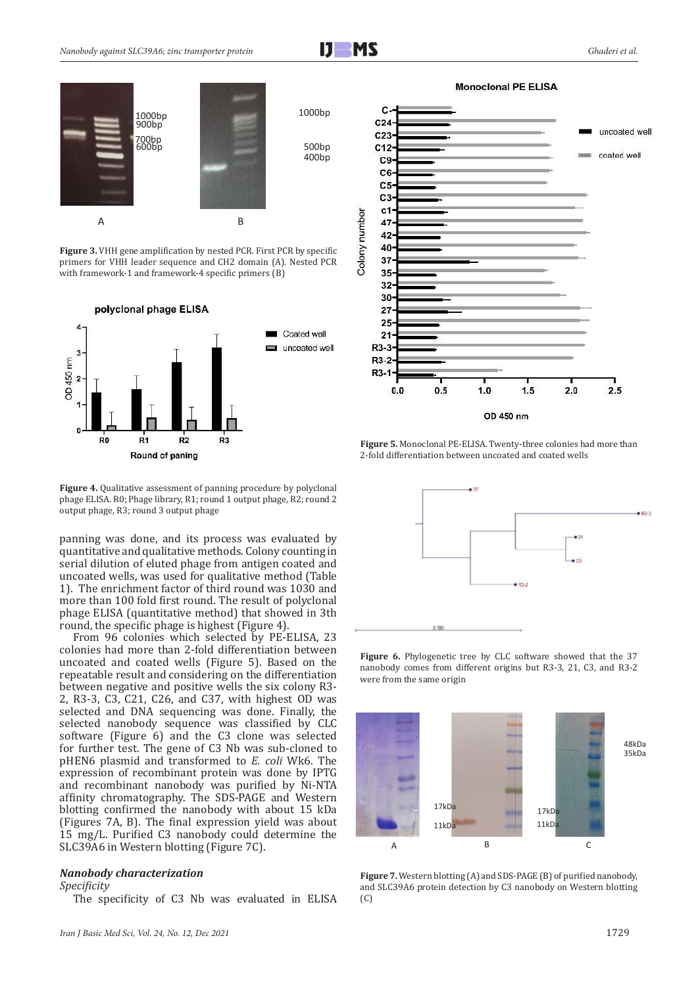



**Figure 3.** VHH gene amplification by nested PCR. First PCR by specific primers for VHH leader sequence and CH2 domain (A). Nested PCR with framework-1 and framework-4 specific primers (B)

polyclonal phage ELISA



Figure 4. Qualitative assessment of panning procedure by polyclonal phage ELISA. R0; Phage library, R1; round 1 output phage, R2; round 2 output phage, R3; round 3 output phage

panning was done, and its process was evaluated by quantitative and qualitative methods. Colony counting in serial dilution of eluted phage from antigen coated and uncoated wells, was used for qualitative method (Table 1). The enrichment factor of third round was 1030 and more than 100 fold first round. The result of polyclonal phage ELISA (quantitative method) that showed in 3th round, the specific phage is highest (Figure 4).

From 96 colonies which selected by PE-ELISA, 23 colonies had more than 2-fold differentiation between uncoated and coated wells (Figure 5). Based on the repeatable result and considering on the differentiation between negative and positive wells the six colony R3- 2, R3-3, C3, C21, C26, and C37, with highest OD was selected and DNA sequencing was done. Finally, the selected nanobody sequence was classified by CLC software (Figure 6) and the C3 clone was selected for further test. The gene of C3 Nb was sub-cloned to pHEN6 plasmid and transformed to *E. coli* Wk6. The expression of recombinant protein was done by IPTG and recombinant nanobody was purified by Ni-NTA affinity chromatography. The SDS-PAGE and Western blotting confirmed the nanobody with about 15 kDa (Figures 7A, B). The final expression yield was about 15 mg/L. Purified C3 nanobody could determine the SLC39A6 in Western blotting (Figure 7C).

#### *Nanobody characterization*

#### *Specificity*

The specificity of C3 Nb was evaluated in ELISA

*Iran J Basic Med Sci, Vol. 24, No. 12, Dec 2021* 1729



**Figure 5.** Monoclonal PE-ELISA. Twenty-three colonies had more than 2-fold differentiation between uncoated and coated wells



**Figure 6.** Phylogenetic tree by CLC software showed that the 37 nanobody comes from different origins but R3-3, 21, C3, and R3-2 were from the same origin



**Figure 7.** Western blotting (A) and SDS-PAGE (B) of purified nanobody, and SLC39A6 protein detection by C3 nanobody on Western blotting (C)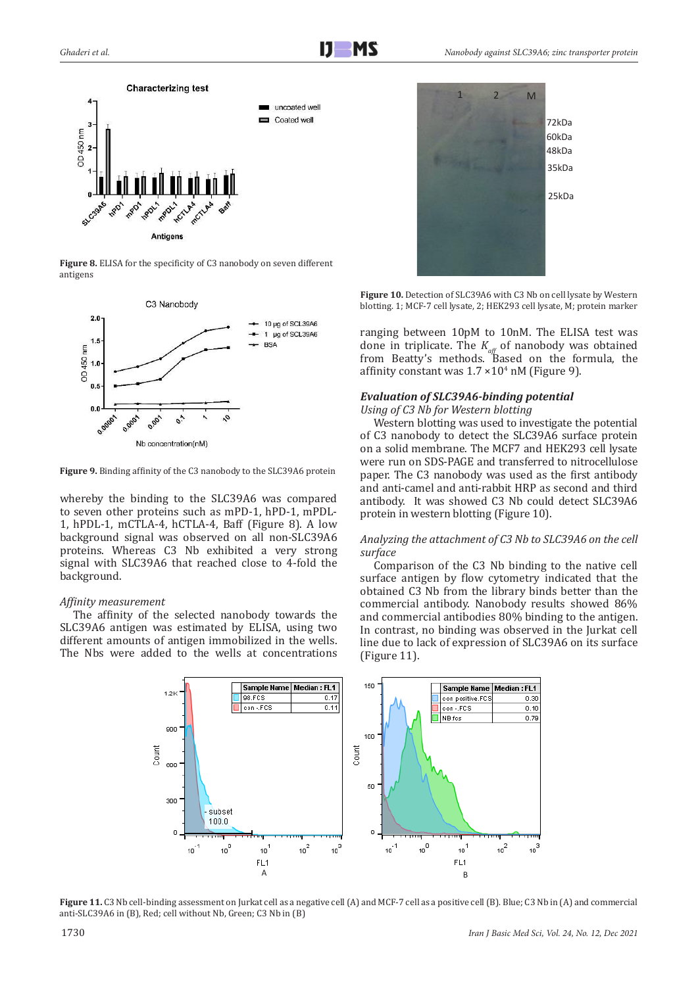

**Figure 8.** ELISA for the specificity of C3 nanobody on seven different antigens



**Figure 9.** Binding affinity of the C3 nanobody to the SLC39A6 protein

whereby the binding to the SLC39A6 was compared to seven other proteins such as mPD-1, hPD-1, mPDL-1, hPDL-1, mCTLA-4, hCTLA-4, Baff (Figure 8). A low background signal was observed on all non-SLC39A6 proteins. Whereas C3 Nb exhibited a very strong signal with SLC39A6 that reached close to 4-fold the background.

## *Affinity measurement*

The affinity of the selected nanobody towards the SLC39A6 antigen was estimated by ELISA, using two different amounts of antigen immobilized in the wells. The Nbs were added to the wells at concentrations



Figure 10. Detection of SLC39A6 with C3 Nb on cell lysate by Western blotting. 1; MCF-7 cell lysate, 2; HEK293 cell lysate, M; protein marker

ranging between 10pM to 10nM. The ELISA test was done in triplicate. The *K<sub>aff</sub>* of nanobody was obtained from Beatty's methods. Based on the formula, the affinity constant was  $1.7 \times 10^4$  nM (Figure 9).

# *Evaluation of SLC39A6-binding potential*

*Using of C3 Nb for Western blotting* 

Western blotting was used to investigate the potential of C3 nanobody to detect the SLC39A6 surface protein on a solid membrane. The MCF7 and HEK293 cell lysate were run on SDS-PAGE and transferred to nitrocellulose paper. The C3 nanobody was used as the first antibody and anti-camel and anti-rabbit HRP as second and third antibody. It was showed C3 Nb could detect SLC39A6 protein in western blotting (Figure 10).

## *Analyzing the attachment of C3 Nb to SLC39A6 on the cell surface*

Comparison of the C3 Nb binding to the native cell surface antigen by flow cytometry indicated that the obtained C3 Nb from the library binds better than the commercial antibody. Nanobody results showed 86% and commercial antibodies 80% binding to the antigen. In contrast, no binding was observed in the Jurkat cell line due to lack of expression of SLC39A6 on its surface (Figure 11).



**Figure 11.** C3 Nb cell-binding assessment on Jurkat cell as a negative cell (A) and MCF-7 cell as a positive cell (B). Blue; C3 Nb in (A) and commercial anti-SLC39A6 in (B), Red; cell without Nb, Green; C3 Nb in (B)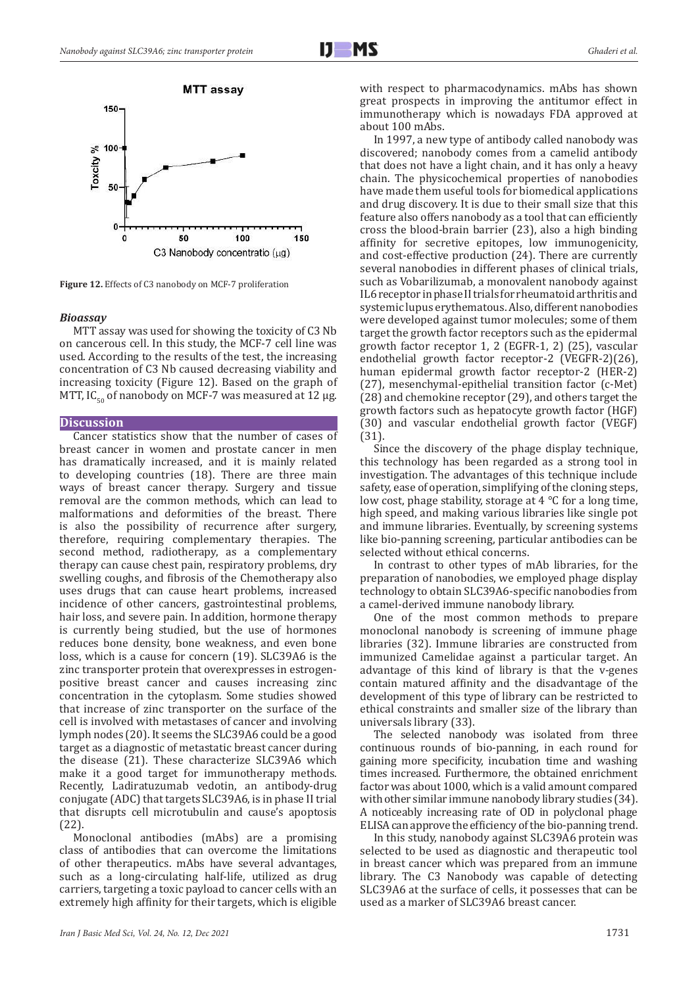

**Figure 12.** Effects of C3 nanobody on MCF-7 proliferation

#### *Bioassay*

MTT assay was used for showing the toxicity of C3 Nb on cancerous cell. In this study, the MCF-7 cell line was used. According to the results of the test, the increasing concentration of C3 Nb caused decreasing viability and increasing toxicity (Figure 12). Based on the graph of MTT, IC<sub>ερ</sub> of nanobody on MCF-7 was measured at 12 μg.

#### **Discussion**

Cancer statistics show that the number of cases of breast cancer in women and prostate cancer in men has dramatically increased, and it is mainly related to developing countries (18). There are three main ways of breast cancer therapy. Surgery and tissue removal are the common methods, which can lead to malformations and deformities of the breast. There is also the possibility of recurrence after surgery, therefore, requiring complementary therapies. The second method, radiotherapy, as a complementary therapy can cause chest pain, respiratory problems, dry swelling coughs, and fibrosis of the Chemotherapy also uses drugs that can cause heart problems, increased incidence of other cancers, gastrointestinal problems, hair loss, and severe pain. In addition, hormone therapy is currently being studied, but the use of hormones reduces bone density, bone weakness, and even bone loss, which is a cause for concern (19). SLC39A6 is the zinc transporter protein that overexpresses in estrogenpositive breast cancer and causes increasing zinc concentration in the cytoplasm. Some studies showed that increase of zinc transporter on the surface of the cell is involved with metastases of cancer and involving lymph nodes (20). It seems the SLC39A6 could be a good target as a diagnostic of metastatic breast cancer during the disease (21). These characterize SLC39A6 which make it a good target for immunotherapy methods. Recently, Ladiratuzumab vedotin, an antibody-drug conjugate (ADC) that targets SLC39A6, is in phase II trial that disrupts cell microtubulin and cause's apoptosis (22).

Monoclonal antibodies (mAbs) are a promising class of antibodies that can overcome the limitations of other therapeutics. mAbs have several advantages, such as a long-circulating half-life, utilized as drug carriers, targeting a toxic payload to cancer cells with an extremely high affinity for their targets, which is eligible

with respect to pharmacodynamics. mAbs has shown great prospects in improving the antitumor effect in immunotherapy which is nowadays FDA approved at about 100 mAbs.

In 1997, a new type of antibody called nanobody was discovered; nanobody comes from a camelid antibody that does not have a light chain, and it has only a heavy chain. The physicochemical properties of nanobodies have made them useful tools for biomedical applications and drug discovery. It is due to their small size that this feature also offers nanobody as a tool that can efficiently cross the blood-brain barrier (23), also a high binding affinity for secretive epitopes, low immunogenicity, and cost-effective production (24). There are currently several nanobodies in different phases of clinical trials, such as Vobarilizumab, a monovalent nanobody against IL6 receptor in phase II trials for rheumatoid arthritis and systemic lupus erythematous. Also, different nanobodies were developed against tumor molecules; some of them target the growth factor receptors such as the epidermal growth factor receptor 1, 2 (EGFR-1, 2) (25), vascular endothelial growth factor receptor-2 (VEGFR-2)(26), human epidermal growth factor receptor-2 (HER-2) (27), mesenchymal-epithelial transition factor (c-Met) (28) and chemokine receptor (29), and others target the growth factors such as hepatocyte growth factor (HGF) (30) and vascular endothelial growth factor (VEGF) (31).

Since the discovery of the phage display technique, this technology has been regarded as a strong tool in investigation. The advantages of this technique include safety, ease of operation, simplifying of the cloning steps, low cost, phage stability, storage at 4 °C for a long time, high speed, and making various libraries like single pot and immune libraries. Eventually, by screening systems like bio-panning screening, particular antibodies can be selected without ethical concerns.

In contrast to other types of mAb libraries, for the preparation of nanobodies, we employed phage display technology to obtain SLC39A6-specific nanobodies from a camel-derived immune nanobody library.

One of the most common methods to prepare monoclonal nanobody is screening of immune phage libraries (32). Immune libraries are constructed from immunized Camelidae against a particular target. An advantage of this kind of library is that the v-genes contain matured affinity and the disadvantage of the development of this type of library can be restricted to ethical constraints and smaller size of the library than universals library (33).

The selected nanobody was isolated from three continuous rounds of bio-panning, in each round for gaining more specificity, incubation time and washing times increased. Furthermore, the obtained enrichment factor was about 1000, which is a valid amount compared with other similar immune nanobody library studies (34). A noticeably increasing rate of OD in polyclonal phage ELISA can approve the efficiency of the bio-panning trend.

In this study, nanobody against SLC39A6 protein was selected to be used as diagnostic and therapeutic tool in breast cancer which was prepared from an immune library. The C3 Nanobody was capable of detecting SLC39A6 at the surface of cells, it possesses that can be used as a marker of SLC39A6 breast cancer.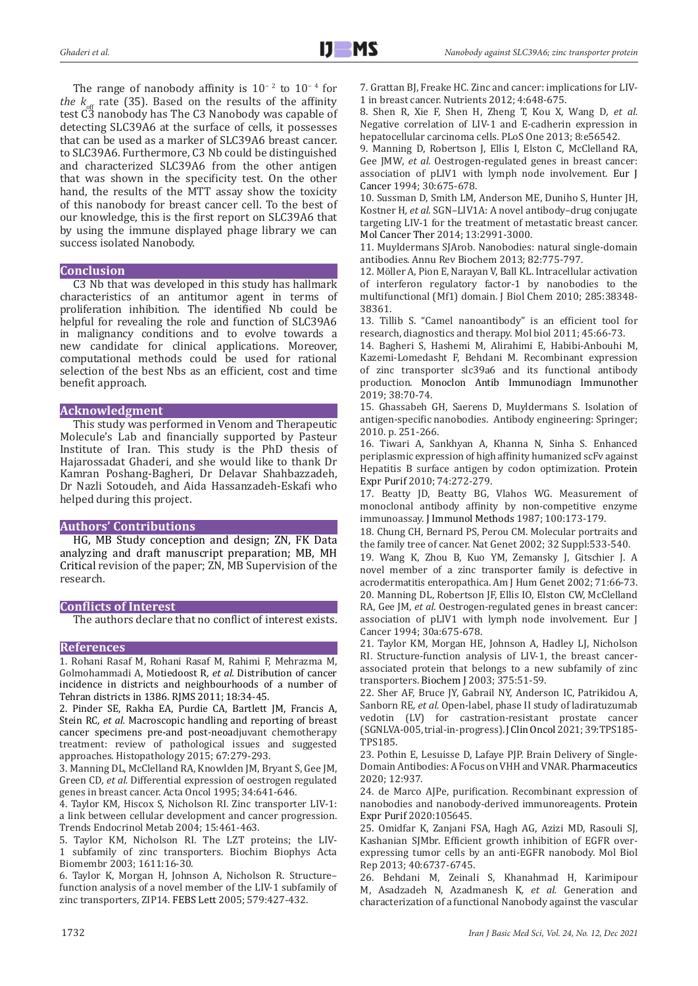The range of nanobody affinity is  $10^{-2}$  to  $10^{-4}$  for *the*  $k_{\text{off}}$  rate (35). Based on the results of the affinity test C3 nanobody has The C3 Nanobody was capable of detecting SLC39A6 at the surface of cells, it possesses that can be used as a marker of SLC39A6 breast cancer. to SLC39A6. Furthermore, C3 Nb could be distinguished and characterized SLC39A6 from the other antigen that was shown in the specificity test. On the other hand, the results of the MTT assay show the toxicity of this nanobody for breast cancer cell. To the best of our knowledge, this is the first report on SLC39A6 that by using the immune displayed phage library we can success isolated Nanobody.

## **Conclusion**

C3 Nb that was developed in this study has hallmark characteristics of an antitumor agent in terms of proliferation inhibition. The identified Nb could be helpful for revealing the role and function of SLC39A6 in malignancy conditions and to evolve towards a new candidate for clinical applications. Moreover, computational methods could be used for rational selection of the best Nbs as an efficient, cost and time benefit approach.

## **Acknowledgment**

This study was performed in Venom and Therapeutic Molecule's Lab and financially supported by Pasteur Institute of Iran. This study is the PhD thesis of Hajarossadat Ghaderi, and she would like to thank Dr Kamran Poshang-Bagheri, Dr Delavar Shahbazzadeh, Dr Nazli Sotoudeh, and Aida Hassanzadeh-Eskafi who helped during this project.

## **Authors' Contributions**

HG, MB Study conception and design; ZN, FK Data analyzing and draft manuscript preparation; MB, MH Critical revision of the paper; ZN, MB Supervision of the research.

#### **Conflicts of Interest**

The authors declare that no conflict of interest exists.

#### **References**

1. Rohani Rasaf M, Rohani Rasaf M, Rahimi F, Mehrazma M, Golmohammadi A, Motiedoost R*, et al.* Distribution of cancer incidence in districts and neighbourhoods of a number of Tehran districts in 1386. RJMS 2011; 18:34-45.

2. Pinder SE, Rakha EA, Purdie CA, Bartlett JM, Francis A, Stein RC*, et al.* Macroscopic handling and reporting of breast cancer specimens pre-and post-neoadjuvant chemotherapy treatment: review of pathological issues and suggested approaches. Histopathology 2015; 67:279-293.

3. Manning DL, McClelland RA, Knowlden JM, Bryant S, Gee JM, Green CD*, et al.* Differential expression of oestrogen regulated genes in breast cancer. Acta Oncol 1995; 34:641-646.

4. Taylor KM, Hiscox S, Nicholson RI. Zinc transporter LIV-1: a link between cellular development and cancer progression. Trends Endocrinol Metab 2004; 15:461-463.

5. Taylor KM, Nicholson RI. The LZT proteins; the LIV-1 subfamily of zinc transporters. Biochim Biophys Acta Biomembr 2003; 1611:16-30.

6. Taylor K, Morgan H, Johnson A, Nicholson R. Structure– function analysis of a novel member of the LIV-1 subfamily of zinc transporters, ZIP14. FEBS Lett 2005; 579:427-432.

7. Grattan BJ, Freake HC. Zinc and cancer: implications for LIV-1 in breast cancer. Nutrients 2012; 4:648-675.

8. Shen R, Xie F, Shen H, Zheng T, Kou X, Wang D*, et al.* Negative correlation of LIV-1 and E-cadherin expression in hepatocellular carcinoma cells. PLoS One 2013; 8:e56542.

9. Manning D, Robertson J, Ellis I, Elston C, McClelland RA, Gee JMW*, et al.* Oestrogen-regulated genes in breast cancer: association of pLIV1 with lymph node involvement. Eur J Cancer 1994; 30:675-678.

10. Sussman D, Smith LM, Anderson ME, Duniho S, Hunter JH, Kostner H*, et al.* SGN–LIV1A: A novel antibody–drug conjugate targeting LIV-1 for the treatment of metastatic breast cancer. Mol Cancer Ther 2014; 13:2991-3000.

11. Muyldermans SJArob. Nanobodies: natural single-domain antibodies. Annu Rev Biochem 2013; 82:775-797.

12. Möller A, Pion E, Narayan V, Ball KL. Intracellular activation of interferon regulatory factor-1 by nanobodies to the multifunctional (Mf1) domain. J Biol Chem 2010; 285:38348- 38361.

13. Tillib S. "Camel nanoantibody" is an efficient tool for research, diagnostics and therapy. Mol biol 2011; 45:66-73.

14. Bagheri S, Hashemi M, Alirahimi E, Habibi-Anbouhi M, Kazemi-Lomedasht F, Behdani M. Recombinant expression of zinc transporter slc39a6 and its functional antibody production. Monoclon Antib Immunodiagn Immunother 2019; 38:70-74.

15. Ghassabeh GH, Saerens D, Muyldermans S. Isolation of antigen-specific nanobodies. Antibody engineering: Springer; 2010. p. 251-266.

16. Tiwari A, Sankhyan A, Khanna N, Sinha S. Enhanced periplasmic expression of high affinity humanized scFv against Hepatitis B surface antigen by codon optimization. Protein Expr Purif 2010; 74:272-279.

17. Beatty JD, Beatty BG, Vlahos WG. Measurement of monoclonal antibody affinity by non-competitive enzyme immunoassay. J Immunol Methods 1987; 100:173-179.

18. Chung CH, Bernard PS, Perou CM. Molecular portraits and the family tree of cancer. Nat Genet 2002; 32 Suppl:533-540.

19. Wang K, Zhou B, Kuo YM, Zemansky J, Gitschier J. A novel member of a zinc transporter family is defective in acrodermatitis enteropathica. Am J Hum Genet 2002; 71:66-73. 20. Manning DL, Robertson JF, Ellis IO, Elston CW, McClelland RA, Gee JM*, et al.* Oestrogen-regulated genes in breast cancer: association of pLIV1 with lymph node involvement. Eur J Cancer 1994; 30a:675-678.

21. Taylor KM, Morgan HE, Johnson A, Hadley LJ, Nicholson RI. Structure-function analysis of LIV-1, the breast cancerassociated protein that belongs to a new subfamily of zinc transporters. Biochem J 2003; 375:51-59.

22. Sher AF, Bruce JY, Gabrail NY, Anderson IC, Patrikidou A, Sanborn RE*, et al.* Open-label, phase II study of ladiratuzumab vedotin (LV) for castration-resistant prostate cancer (SGNLVA-005, trial-in-progress).J Clin Oncol2021; 39:TPS185- TPS185.

23. Pothin E, Lesuisse D, Lafaye PJP. Brain Delivery of Single-Domain Antibodies: A Focus on VHH and VNAR. Pharmaceutics 2020; 12:937.

24. de Marco AJPe, purification. Recombinant expression of nanobodies and nanobody-derived immunoreagents. Protein Expr Purif 2020:105645.

25. Omidfar K, Zanjani FSA, Hagh AG, Azizi MD, Rasouli SJ, Kashanian SJMbr. Efficient growth inhibition of EGFR overexpressing tumor cells by an anti-EGFR nanobody. Mol Biol Rep 2013; 40:6737-6745.

26. Behdani M, Zeinali S, Khanahmad H, Karimipour M, Asadzadeh N, Azadmanesh K*, et al.* Generation and characterization of a functional Nanobody against the vascular